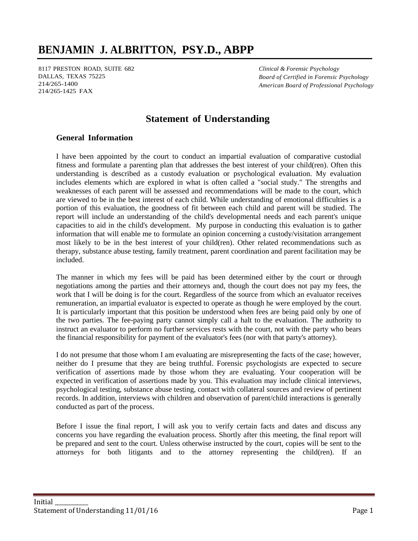# **BENJAMIN J. ALBRITTON, PSY.D., ABPP**

8117 PRESTON ROAD, SUITE 682 DALLAS, TEXAS 75225 214/265-1400 214/265-1425 FAX

*Clinical & Forensic Psychology Board of Certified in Forensic Psychology American Board of Professional Psychology*

## **Statement of Understanding**

#### **General Information**

I have been appointed by the court to conduct an impartial evaluation of comparative custodial fitness and formulate a parenting plan that addresses the best interest of your child(ren). Often this understanding is described as a custody evaluation or psychological evaluation. My evaluation includes elements which are explored in what is often called a "social study." The strengths and weaknesses of each parent will be assessed and recommendations will be made to the court, which are viewed to be in the best interest of each child. While understanding of emotional difficulties is a portion of this evaluation, the goodness of fit between each child and parent will be studied. The report will include an understanding of the child's developmental needs and each parent's unique capacities to aid in the child's development. My purpose in conducting this evaluation is to gather information that will enable me to formulate an opinion concerning a custody/visitation arrangement most likely to be in the best interest of your child(ren). Other related recommendations such as therapy, substance abuse testing, family treatment, parent coordination and parent facilitation may be included.

The manner in which my fees will be paid has been determined either by the court or through negotiations among the parties and their attorneys and, though the court does not pay my fees, the work that I will be doing is for the court. Regardless of the source from which an evaluator receives remuneration, an impartial evaluator is expected to operate as though he were employed by the court. It is particularly important that this position be understood when fees are being paid only by one of the two parties. The fee-paying party cannot simply call a halt to the evaluation. The authority to instruct an evaluator to perform no further services rests with the court, not with the party who bears the financial responsibility for payment of the evaluator's fees (nor with that party's attorney).

I do not presume that those whom I am evaluating are misrepresenting the facts of the case; however, neither do I presume that they are being truthful. Forensic psychologists are expected to secure verification of assertions made by those whom they are evaluating. Your cooperation will be expected in verification of assertions made by you. This evaluation may include clinical interviews, psychological testing, substance abuse testing, contact with collateral sources and review of pertinent records. In addition, interviews with children and observation of parent/child interactions is generally conducted as part of the process.

Before I issue the final report, I will ask you to verify certain facts and dates and discuss any concerns you have regarding the evaluation process. Shortly after this meeting, the final report will be prepared and sent to the court. Unless otherwise instructed by the court, copies will be sent to the attorneys for both litigants and to the attorney representing the child(ren). If an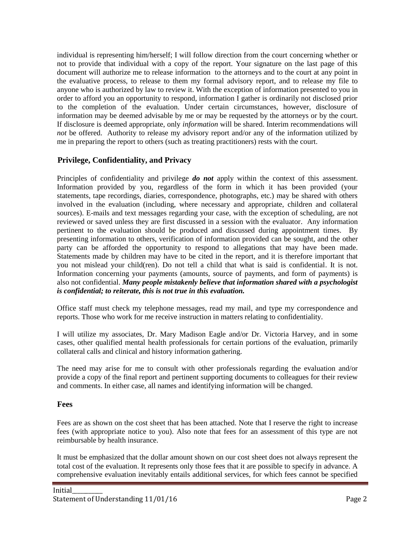individual is representing him/herself; I will follow direction from the court concerning whether or not to provide that individual with a copy of the report. Your signature on the last page of this document will authorize me to release information to the attorneys and to the court at any point in the evaluative process, to release to them my formal advisory report, and to release my file to anyone who is authorized by law to review it. With the exception of information presented to you in order to afford you an opportunity to respond, information I gather is ordinarily not disclosed prior to the completion of the evaluation. Under certain circumstances, however, disclosure of information may be deemed advisable by me or may be requested by the attorneys or by the court. If disclosure is deemed appropriate, only *information* will be shared. Interim recommendations will *not* be offered. Authority to release my advisory report and/or any of the information utilized by me in preparing the report to others (such as treating practitioners) rests with the court.

#### **Privilege, Confidentiality, and Privacy**

Principles of confidentiality and privilege *do not* apply within the context of this assessment. Information provided by you, regardless of the form in which it has been provided (your statements, tape recordings, diaries, correspondence, photographs, etc.) may be shared with others involved in the evaluation (including, where necessary and appropriate, children and collateral sources). E-mails and text messages regarding your case, with the exception of scheduling, are not reviewed or saved unless they are first discussed in a session with the evaluator. Any information pertinent to the evaluation should be produced and discussed during appointment times. By presenting information to others, verification of information provided can be sought, and the other party can be afforded the opportunity to respond to allegations that may have been made. Statements made by children may have to be cited in the report, and it is therefore important that you not mislead your child(ren). Do not tell a child that what is said is confidential. It is not. Information concerning your payments (amounts, source of payments, and form of payments) is also not confidential. *Many people mistakenly believe that information shared with a psychologist is confidential; to reiterate, this is not true in this evaluation.*

Office staff must check my telephone messages, read my mail, and type my correspondence and reports. Those who work for me receive instruction in matters relating to confidentiality.

I will utilize my associates, Dr. Mary Madison Eagle and/or Dr. Victoria Harvey, and in some cases, other qualified mental health professionals for certain portions of the evaluation, primarily collateral calls and clinical and history information gathering.

The need may arise for me to consult with other professionals regarding the evaluation and/or provide a copy of the final report and pertinent supporting documents to colleagues for their review and comments. In either case, all names and identifying information will be changed.

#### **Fees**

Fees are as shown on the cost sheet that has been attached. Note that I reserve the right to increase fees (with appropriate notice to you). Also note that fees for an assessment of this type are not reimbursable by health insurance.

It must be emphasized that the dollar amount shown on our cost sheet does not always represent the total cost of the evaluation. It represents only those fees that it are possible to specify in advance. A comprehensive evaluation inevitably entails additional services, for which fees cannot be specified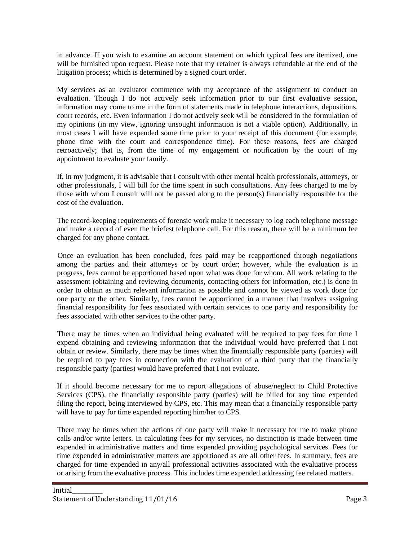in advance. If you wish to examine an account statement on which typical fees are itemized, one will be furnished upon request. Please note that my retainer is always refundable at the end of the litigation process; which is determined by a signed court order.

My services as an evaluator commence with my acceptance of the assignment to conduct an evaluation. Though I do not actively seek information prior to our first evaluative session, information may come to me in the form of statements made in telephone interactions, depositions, court records, etc. Even information I do not actively seek will be considered in the formulation of my opinions (in my view, ignoring unsought information is not a viable option). Additionally, in most cases I will have expended some time prior to your receipt of this document (for example, phone time with the court and correspondence time). For these reasons, fees are charged retroactively; that is, from the time of my engagement or notification by the court of my appointment to evaluate your family.

If, in my judgment, it is advisable that I consult with other mental health professionals, attorneys, or other professionals, I will bill for the time spent in such consultations. Any fees charged to me by those with whom I consult will not be passed along to the person(s) financially responsible for the cost of the evaluation.

The record-keeping requirements of forensic work make it necessary to log each telephone message and make a record of even the briefest telephone call. For this reason, there will be a minimum fee charged for any phone contact.

Once an evaluation has been concluded, fees paid may be reapportioned through negotiations among the parties and their attorneys or by court order; however, while the evaluation is in progress, fees cannot be apportioned based upon what was done for whom. All work relating to the assessment (obtaining and reviewing documents, contacting others for information, etc.) is done in order to obtain as much relevant information as possible and cannot be viewed as work done for one party or the other. Similarly, fees cannot be apportioned in a manner that involves assigning financial responsibility for fees associated with certain services to one party and responsibility for fees associated with other services to the other party.

There may be times when an individual being evaluated will be required to pay fees for time I expend obtaining and reviewing information that the individual would have preferred that I not obtain or review. Similarly, there may be times when the financially responsible party (parties) will be required to pay fees in connection with the evaluation of a third party that the financially responsible party (parties) would have preferred that I not evaluate.

If it should become necessary for me to report allegations of abuse/neglect to Child Protective Services (CPS), the financially responsible party (parties) will be billed for any time expended filing the report, being interviewed by CPS, etc. This may mean that a financially responsible party will have to pay for time expended reporting him/her to CPS.

There may be times when the actions of one party will make it necessary for me to make phone calls and/or write letters. In calculating fees for my services, no distinction is made between time expended in administrative matters and time expended providing psychological services. Fees for time expended in administrative matters are apportioned as are all other fees. In summary, fees are charged for time expended in any/all professional activities associated with the evaluative process or arising from the evaluative process. This includes time expended addressing fee related matters.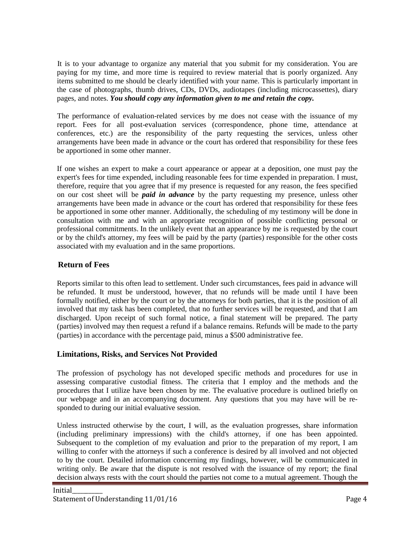It is to your advantage to organize any material that you submit for my consideration. You are paying for my time, and more time is required to review material that is poorly organized. Any items submitted to me should be clearly identified with your name. This is particularly important in the case of photographs, thumb drives, CDs, DVDs, audiotapes (including microcassettes), diary pages, and notes. *You should copy any information given to me and retain the copy.*

The performance of evaluation-related services by me does not cease with the issuance of my report. Fees for all post-evaluation services (correspondence, phone time, attendance at conferences, etc.) are the responsibility of the party requesting the services, unless other arrangements have been made in advance or the court has ordered that responsibility for these fees be apportioned in some other manner.

If one wishes an expert to make a court appearance or appear at a deposition, one must pay the expert's fees for time expended, including reasonable fees for time expended in preparation. I must, therefore, require that you agree that if my presence is requested for any reason, the fees specified on our cost sheet will be *paid in advance* by the party requesting my presence, unless other arrangements have been made in advance or the court has ordered that responsibility for these fees be apportioned in some other manner. Additionally, the scheduling of my testimony will be done in consultation with me and with an appropriate recognition of possible conflicting personal or professional commitments. In the unlikely event that an appearance by me is requested by the court or by the child's attorney, my fees will be paid by the party (parties) responsible for the other costs associated with my evaluation and in the same proportions.

## **Return of Fees**

Reports similar to this often lead to settlement. Under such circumstances, fees paid in advance will be refunded. It must be understood, however, that no refunds will be made until I have been formally notified, either by the court or by the attorneys for both parties, that it is the position of all involved that my task has been completed, that no further services will be requested, and that I am discharged. Upon receipt of such formal notice, a final statement will be prepared. The party (parties) involved may then request a refund if a balance remains. Refunds will be made to the party (parties) in accordance with the percentage paid, minus a \$500 administrative fee.

## **Limitations, Risks, and Services Not Provided**

The profession of psychology has not developed specific methods and procedures for use in assessing comparative custodial fitness. The criteria that I employ and the methods and the procedures that I utilize have been chosen by me. The evaluative procedure is outlined briefly on our webpage and in an accompanying document. Any questions that you may have will be responded to during our initial evaluative session.

Unless instructed otherwise by the court, I will, as the evaluation progresses, share information (including preliminary impressions) with the child's attorney, if one has been appointed. Subsequent to the completion of my evaluation and prior to the preparation of my report, I am willing to confer with the attorneys if such a conference is desired by all involved and not objected to by the court. Detailed information concerning my findings, however, will be communicated in writing only. Be aware that the dispute is not resolved with the issuance of my report; the final decision always rests with the court should the parties not come to a mutual agreement. Though the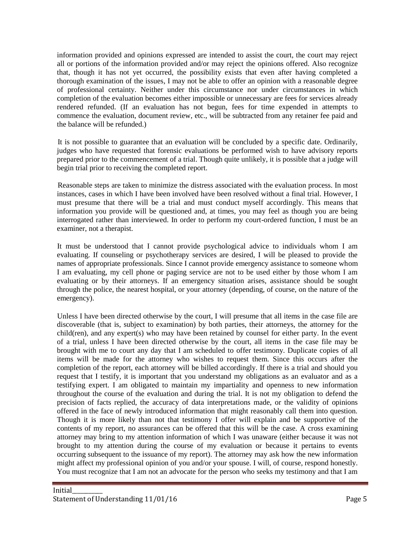information provided and opinions expressed are intended to assist the court, the court may reject all or portions of the information provided and/or may reject the opinions offered. Also recognize that, though it has not yet occurred, the possibility exists that even after having completed a thorough examination of the issues, I may not be able to offer an opinion with a reasonable degree of professional certainty. Neither under this circumstance nor under circumstances in which completion of the evaluation becomes either impossible or unnecessary are fees for services already rendered refunded. (If an evaluation has not begun, fees for time expended in attempts to commence the evaluation, document review, etc., will be subtracted from any retainer fee paid and the balance will be refunded.)

It is not possible to guarantee that an evaluation will be concluded by a specific date. Ordinarily, judges who have requested that forensic evaluations be performed wish to have advisory reports prepared prior to the commencement of a trial. Though quite unlikely, it is possible that a judge will begin trial prior to receiving the completed report.

Reasonable steps are taken to minimize the distress associated with the evaluation process. In most instances, cases in which I have been involved have been resolved without a final trial. However, I must presume that there will be a trial and must conduct myself accordingly. This means that information you provide will be questioned and, at times, you may feel as though you are being interrogated rather than interviewed. In order to perform my court-ordered function, I must be an examiner, not a therapist.

It must be understood that I cannot provide psychological advice to individuals whom I am evaluating. If counseling or psychotherapy services are desired, I will be pleased to provide the names of appropriate professionals. Since I cannot provide emergency assistance to someone whom I am evaluating, my cell phone or paging service are not to be used either by those whom I am evaluating or by their attorneys. If an emergency situation arises, assistance should be sought through the police, the nearest hospital, or your attorney (depending, of course, on the nature of the emergency).

Unless I have been directed otherwise by the court, I will presume that all items in the case file are discoverable (that is, subject to examination) by both parties, their attorneys, the attorney for the child(ren), and any expert(s) who may have been retained by counsel for either party. In the event of a trial, unless I have been directed otherwise by the court, all items in the case file may be brought with me to court any day that I am scheduled to offer testimony. Duplicate copies of all items will be made for the attorney who wishes to request them. Since this occurs after the completion of the report, each attorney will be billed accordingly. If there is a trial and should you request that I testify, it is important that you understand my obligations as an evaluator and as a testifying expert. I am obligated to maintain my impartiality and openness to new information throughout the course of the evaluation and during the trial. It is not my obligation to defend the precision of facts replied, the accuracy of data interpretations made, or the validity of opinions offered in the face of newly introduced information that might reasonably call them into question. Though it is more likely than not that testimony I offer will explain and be supportive of the contents of my report, no assurances can be offered that this will be the case. A cross examining attorney may bring to my attention information of which I was unaware (either because it was not brought to my attention during the course of my evaluation or because it pertains to events occurring subsequent to the issuance of my report). The attorney may ask how the new information might affect my professional opinion of you and/or your spouse. I will, of course, respond honestly. You must recognize that I am not an advocate for the person who seeks my testimony and that I am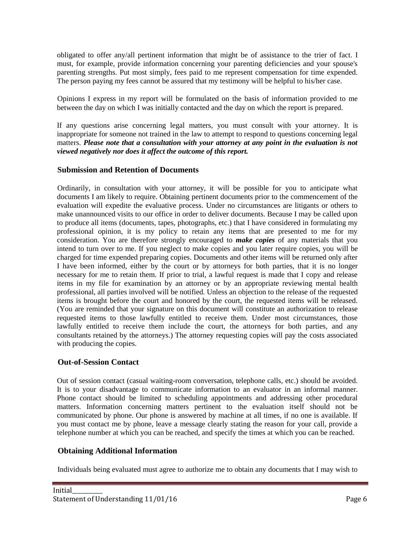obligated to offer any/all pertinent information that might be of assistance to the trier of fact. I must, for example, provide information concerning your parenting deficiencies and your spouse's parenting strengths. Put most simply, fees paid to me represent compensation for time expended. The person paying my fees cannot be assured that my testimony will be helpful to his/her case.

Opinions I express in my report will be formulated on the basis of information provided to me between the day on which I was initially contacted and the day on which the report is prepared.

If any questions arise concerning legal matters, you must consult with your attorney. It is inappropriate for someone not trained in the law to attempt to respond to questions concerning legal matters. *Please note that a consultation with your attorney at any point in the evaluation is not viewed negatively nor does it affect the outcome of this report.*

#### **Submission and Retention of Documents**

Ordinarily, in consultation with your attorney, it will be possible for you to anticipate what documents I am likely to require. Obtaining pertinent documents prior to the commencement of the evaluation will expedite the evaluative process. Under no circumstances are litigants or others to make unannounced visits to our office in order to deliver documents. Because I may be called upon to produce all items (documents, tapes, photographs, etc.) that I have considered in formulating my professional opinion, it is my policy to retain any items that are presented to me for my consideration. You are therefore strongly encouraged to *make copies* of any materials that you intend to turn over to me. If you neglect to make copies and you later require copies, you will be charged for time expended preparing copies. Documents and other items will be returned only after I have been informed, either by the court or by attorneys for both parties, that it is no longer necessary for me to retain them. If prior to trial, a lawful request is made that I copy and release items in my file for examination by an attorney or by an appropriate reviewing mental health professional, all parties involved will be notified. Unless an objection to the release of the requested items is brought before the court and honored by the court, the requested items will be released. (You are reminded that your signature on this document will constitute an authorization to release requested items to those lawfully entitled to receive them. Under most circumstances, those lawfully entitled to receive them include the court, the attorneys for both parties, and any consultants retained by the attorneys.) The attorney requesting copies will pay the costs associated with producing the copies.

#### **Out-of-Session Contact**

Out of session contact (casual waiting-room conversation, telephone calls, etc.) should be avoided. It is to your disadvantage to communicate information to an evaluator in an informal manner. Phone contact should be limited to scheduling appointments and addressing other procedural matters. Information concerning matters pertinent to the evaluation itself should not be communicated by phone. Our phone is answered by machine at all times, if no one is available. If you must contact me by phone, leave a message clearly stating the reason for your call, provide a telephone number at which you can be reached, and specify the times at which you can be reached.

#### **Obtaining Additional Information**

Individuals being evaluated must agree to authorize me to obtain any documents that I may wish to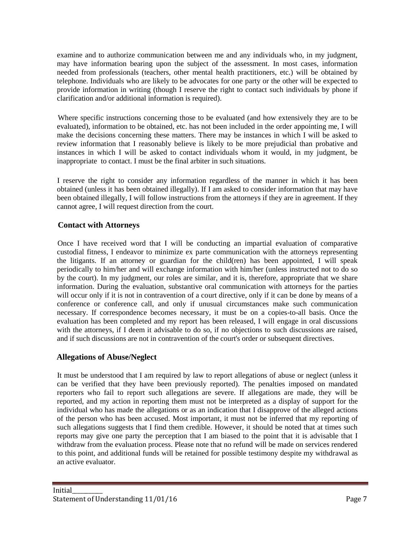examine and to authorize communication between me and any individuals who, in my judgment, may have information bearing upon the subject of the assessment. In most cases, information needed from professionals (teachers, other mental health practitioners, etc.) will be obtained by telephone. Individuals who are likely to be advocates for one party or the other will be expected to provide information in writing (though I reserve the right to contact such individuals by phone if clarification and/or additional information is required).

Where specific instructions concerning those to be evaluated (and how extensively they are to be evaluated), information to be obtained, etc. has not been included in the order appointing me, I will make the decisions concerning these matters. There may be instances in which I will be asked to review information that I reasonably believe is likely to be more prejudicial than probative and instances in which I will be asked to contact individuals whom it would, in my judgment, be inappropriate to contact. I must be the final arbiter in such situations.

I reserve the right to consider any information regardless of the manner in which it has been obtained (unless it has been obtained illegally). If I am asked to consider information that may have been obtained illegally, I will follow instructions from the attorneys if they are in agreement. If they cannot agree, I will request direction from the court.

### **Contact with Attorneys**

Once I have received word that I will be conducting an impartial evaluation of comparative custodial fitness, I endeavor to minimize ex parte communication with the attorneys representing the litigants. If an attorney or guardian for the child(ren) has been appointed, I will speak periodically to him/her and will exchange information with him/her (unless instructed not to do so by the court). In my judgment, our roles are similar, and it is, therefore, appropriate that we share information. During the evaluation, substantive oral communication with attorneys for the parties will occur only if it is not in contravention of a court directive, only if it can be done by means of a conference or conference call, and only if unusual circumstances make such communication necessary. If correspondence becomes necessary, it must be on a copies-to-all basis. Once the evaluation has been completed and my report has been released, I will engage in oral discussions with the attorneys, if I deem it advisable to do so, if no objections to such discussions are raised, and if such discussions are not in contravention of the court's order or subsequent directives.

#### **Allegations of Abuse/Neglect**

It must be understood that I am required by law to report allegations of abuse or neglect (unless it can be verified that they have been previously reported). The penalties imposed on mandated reporters who fail to report such allegations are severe. If allegations are made, they will be reported, and my action in reporting them must not be interpreted as a display of support for the individual who has made the allegations or as an indication that I disapprove of the alleged actions of the person who has been accused. Most important, it must not be inferred that my reporting of such allegations suggests that I find them credible. However, it should be noted that at times such reports may give one party the perception that I am biased to the point that it is advisable that I withdraw from the evaluation process. Please note that no refund will be made on services rendered to this point, and additional funds will be retained for possible testimony despite my withdrawal as an active evaluator.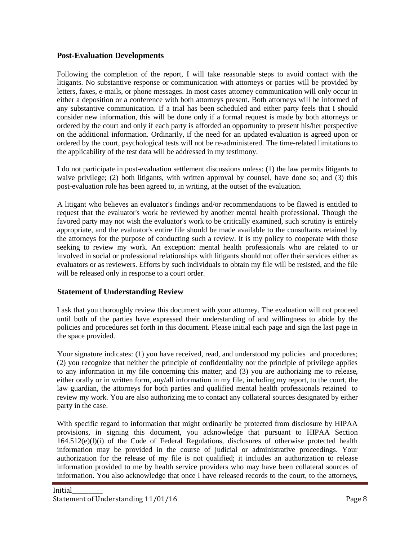#### **Post-Evaluation Developments**

Following the completion of the report, I will take reasonable steps to avoid contact with the litigants. No substantive response or communication with attorneys or parties will be provided by letters, faxes, e-mails, or phone messages. In most cases attorney communication will only occur in either a deposition or a conference with both attorneys present. Both attorneys will be informed of any substantive communication. If a trial has been scheduled and either party feels that I should consider new information, this will be done only if a formal request is made by both attorneys or ordered by the court and only if each party is afforded an opportunity to present his/her perspective on the additional information. Ordinarily, if the need for an updated evaluation is agreed upon or ordered by the court, psychological tests will not be re-administered. The time-related limitations to the applicability of the test data will be addressed in my testimony.

I do not participate in post-evaluation settlement discussions unless: (1) the law permits litigants to waive privilege; (2) both litigants, with written approval by counsel, have done so; and (3) this post-evaluation role has been agreed to, in writing, at the outset of the evaluation.

A litigant who believes an evaluator's findings and/or recommendations to be flawed is entitled to request that the evaluator's work be reviewed by another mental health professional. Though the favored party may not wish the evaluator's work to be critically examined, such scrutiny is entirely appropriate, and the evaluator's entire file should be made available to the consultants retained by the attorneys for the purpose of conducting such a review. It is my policy to cooperate with those seeking to review my work. An exception: mental health professionals who are related to or involved in social or professional relationships with litigants should not offer their services either as evaluators or as reviewers. Efforts by such individuals to obtain my file will be resisted, and the file will be released only in response to a court order.

#### **Statement of Understanding Review**

I ask that you thoroughly review this document with your attorney. The evaluation will not proceed until both of the parties have expressed their understanding of and willingness to abide by the policies and procedures set forth in this document. Please initial each page and sign the last page in the space provided.

Your signature indicates: (1) you have received, read, and understood my policies and procedures; (2) you recognize that neither the principle of confidentiality nor the principle of privilege applies to any information in my file concerning this matter; and (3) you are authorizing me to release, either orally or in written form, any/all information in my file, including my report, to the court, the law guardian, the attorneys for both parties and qualified mental health professionals retained to review my work. You are also authorizing me to contact any collateral sources designated by either party in the case.

With specific regard to information that might ordinarily be protected from disclosure by HIPAA provisions, in signing this document, you acknowledge that pursuant to HIPAA Section 164.512(e)(l)(i) of the Code of Federal Regulations, disclosures of otherwise protected health information may be provided in the course of judicial or administrative proceedings. Your authorization for the release of my file is not qualified; it includes an authorization to release information provided to me by health service providers who may have been collateral sources of information. You also acknowledge that once I have released records to the court, to the attorneys,